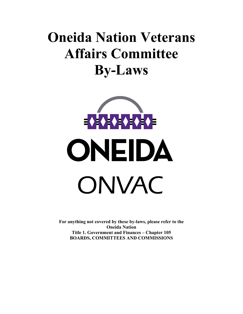# **Oneida Nation Veterans Affairs Committee By-Laws**



**For anything not covered by these by-laws, please refer to the Oneida Nation Title 1. Government and Finances – Chapter 105 BOARDS, COMMITTEES AND COMMISSIONS**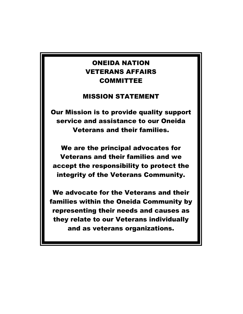## ONEIDA NATION VETERANS AFFAIRS COMMITTEE

### MISSION STATEMENT

Our Mission is to provide quality support service and assistance to our Oneida Veterans and their families.

We are the principal advocates for Veterans and their families and we accept the responsibility to protect the integrity of the Veterans Community.

We advocate for the Veterans and their families within the Oneida Community by representing their needs and causes as they relate to our Veterans individually and as veterans organizations.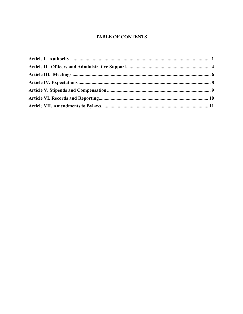#### **TABLE OF CONTENTS**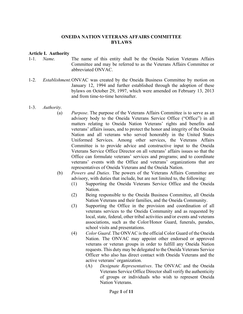#### **ONEIDA NATION VETERANS AFFAIRS COMMITTEE BYLAWS**

#### **Article I. Authority**

- 1-1. *Name.* The name of this entity shall be the Oneida Nation Veterans Affairs Committee and may be referred to as the Veterans Affairs Committee or abbreviated ONVAC.
- 1-2. *Establishment.* ONVAC was created by the Oneida Business Committee by motion on January 12, 1994 and further established through the adoption of these bylaws on October 29, 1997, which were amended on February 13, 2013 and from time-to-time hereinafter.
- 1-3. *Authority.* 
	- (a) *Purpose*. The purpose of the Veterans Affairs Committee is to serve as an advisory body to the Oneida Veterans Service Office ("Office") in all matters relating to Oneida Nation Veterans' rights and benefits and veterans' affairs issues, and to protect the honor and integrity of the Oneida Nation and all veterans who served honorably in the United States Uniformed Services. Among other services, the Veterans Affairs Committee is to provide advice and constructive input to the Oneida Veterans Service Office Director on all veterans' affairs issues so that the Office can formulate veterans' services and programs; and to coordinate veterans' events with the Office and veterans' organizations that are representatives of Oneida Veterans and the Oneida Nation.
	- (b) *Powers and Duties*. The powers of the Veterans Affairs Committee are advisory, with duties that include, but are not limited to, the following:
		- (1) Supporting the Oneida Veterans Service Office and the Oneida Nation.
		- (2) Being responsible to the Oneida Business Committee, all Oneida Nation Veterans and their families, and the Oneida Community.
		- (3) Supporting the Office in the provision and coordination of all veterans services to the Oneida Community and as requested by local, state, federal, other tribal activities and/or events and veterans associations, such as the Color/Honor Guard, funerals, parades, school visits and presentations.
		- (4) *Color Guard*. The ONVAC is the official Color Guard of the Oneida Nation. The ONVAC may appoint other endorsed or approved veterans or veteran groups in order to fulfill any Oneida Nation requests. This duty may be delegated to the Oneida Veterans Service Officer who also has direct contact with Oneida Veterans and the active veterans' organization.
			- (A) *Designate Representatives*. The ONVAC and the Oneida Veterans Service Office Director shall verify the authenticity of groups or individuals who wish to represent Oneida Nation Veterans.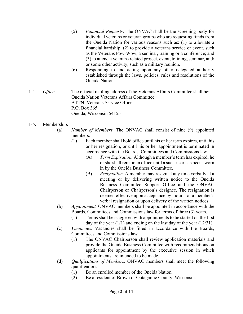- (5) *Financial Requests*. The ONVAC shall be the screening body for individual veterans or veteran groups who are requesting funds from the Oneida Nation for various reasons such as: (1) to alleviate a financial hardship; (2) to provide a veterans service or event, such as the Veterans Pow-Wow, a seminar, training or a conference; and (3) to attend a veterans related project, event, training, seminar, and/ or some other activity, such as a military reunion.
- (6) Responding to and acting upon any other delegated authority established through the laws, policies, rules and resolutions of the Oneida Nation.
- 1-4. *Office.* The official mailing address of the Veterans Affairs Committee shall be: Oneida Nation Veterans Affairs Committee ATTN: Veterans Service Office P.O. Box 365 Oneida, Wisconsin 54155
- 1-5. Membership.
	- (a) *Number of Members.* The ONVAC shall consist of nine (9) appointed members.
		- (1) Each member shall hold office until his or her term expires, until his or her resignation, or until his or her appointment is terminated in accordance with the Boards, Committees and Commissions law.
			- (A) *Term Expiration.* Although a member's term has expired, he or she shall remain in office until a successor has been sworn in by the Oneida Business Committee.
			- (B) *Resignation.* A member may resign at any time verbally at a meeting or by delivering written notice to the Oneida Business Committee Support Office and the ONVAC Chairperson or Chairperson's designee. The resignation is deemed effective upon acceptance by motion of a member's verbal resignation or upon delivery of the written notices.
	- (b) *Appointment.* ONVAC members shall be appointed in accordance with the Boards, Committees and Commissions law for terms of three (3) years.
		- (1) Terms shall be staggered with appointments to be started on the first day of the year  $(1/1)$  and ending on the last day of the year  $(12/31)$ .
	- (c) *Vacancies.* Vacancies shall be filled in accordance with the Boards, Committees and Commissions law.
		- (1) The ONVAC Chairperson shall review application materials and provide the Oneida Business Committee with recommendations on applicants for appointment by the executive session in which appointments are intended to be made.
	- (d) *Qualifications of Members*. ONVAC members shall meet the following qualifications:
		- (1) Be an enrolled member of the Oneida Nation.
		- (2) Be a resident of Brown or Outagamie County, Wisconsin.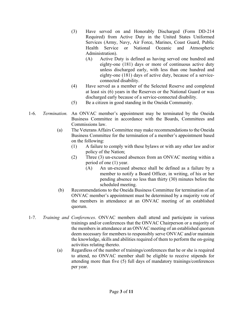- (3) Have served on and Honorably Discharged (Form DD-214 Required) from Active Duty in the United States Uniformed Services (Army, Navy, Air Force, Marines, Coast Guard, Public Health Service or National Oceanic and Atmospheric Administration).
	- (A) Active Duty is defined as having served one hundred and eighty-one (181) days or more of continuous active duty unless discharged early, with less than one hundred and eighty-one (181) days of active duty, because of a service connected disability.
- (4) Have served as a member of the Selected Reserve and completed at least six (6) years in the Reserves or the National Guard or was discharged early because of a service-connected disability.
- (5) Be a citizen in good standing in the Oneida Community.
- 1-6. *Termination.* An ONVAC member's appointment may be terminated by the Oneida Business Committee in accordance with the Boards, Committees and Commissions law.
	- (a) The Veterans Affairs Committee may make recommendations to the Oneida Business Committee for the termination of a member's appointment based on the following:
		- (1) A failure to comply with these bylaws or with any other law and/or policy of the Nation;
		- (2) Three (3) un-excused absences from an ONVAC meeting within a period of one (1) year.
			- (A) An un-excused absence shall be defined as a failure by a member to notify a Board Officer, in writing, of his or her pending absence no less than thirty (30) minutes before the scheduled meeting.
	- (b) Recommendations to the Oneida Business Committee for termination of an ONVAC member's appointment must be determined by a majority vote of the members in attendance at an ONVAC meeting of an established quorum.
- 1-7. *Training and Conferences*. ONVAC members shall attend and participate in various trainings and/or conferences that the ONVAC Chairperson or a majority of the members in attendance at an ONVAC meeting of an established quorum deem necessary for members to responsibly serve ONVAC and/or maintain the knowledge, skills and abilities required of them to perform the on-going activities relating thereto.
	- (a) Regardless of the number of trainings/conferences that he or she is required to attend, no ONVAC member shall be eligible to receive stipends for attending more than five (5) full days of mandatory trainings/conferences per year.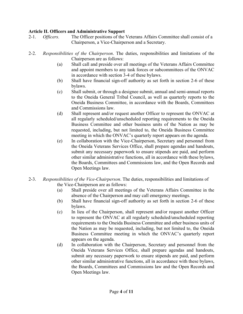#### **Article II. Officers and Administrative Support**

- 2-1. *Officers.*The Officer positions of the Veterans Affairs Committee shall consist of a Chairperson, a Vice-Chairperson and a Secretary.
- 2-2. *Responsibilities of the Chairperson*. The duties, responsibilities and limitations of the Chairperson are as follows:
	- (a) Shall call and preside over all meetings of the Veterans Affairs Committee and appoint members to any task forces or subcommittees of the ONVAC in accordance with section 3-4 of these bylaws.
	- (b) Shall have financial sign-off authority as set forth in section 2-6 of these bylaws.
	- (c) Shall submit, or through a designee submit, annual and semi-annual reports to the Oneida General Tribal Council, as well as quarterly reports to the Oneida Business Committee, in accordance with the Boards, Committees and Commissions law.
	- (d) Shall represent and/or request another Officer to represent the ONVAC at all regularly scheduled/unscheduled reporting requirements to the Oneida Business Committee and other business units of the Nation as may be requested, including, but not limited to, the Oneida Business Committee meeting in which the ONVAC's quarterly report appears on the agenda.
	- (e) In collaboration with the Vice-Chairperson, Secretary and personnel from the Oneida Veterans Services Office, shall prepare agendas and handouts, submit any necessary paperwork to ensure stipends are paid, and perform other similar administrative functions, all in accordance with these bylaws, the Boards, Committees and Commissions law, and the Open Records and Open Meetings law.
- 2-3. *Responsibilities of the Vice-Chairperson*. The duties, responsibilities and limitations of the Vice-Chairperson are as follows:
	- (a) Shall preside over all meetings of the Veterans Affairs Committee in the absence of the Chairperson and may call emergency meetings.
	- (b) Shall have financial sign-off authority as set forth in section 2-6 of these bylaws.
	- (c) In lieu of the Chairperson, shall represent and/or request another Officer to represent the ONVAC at all regularly scheduled/unscheduled reporting requirements to the Oneida Business Committee and other business units of the Nation as may be requested, including, but not limited to, the Oneida Business Committee meeting in which the ONVAC's quarterly report appears on the agenda.
	- (d) In collaboration with the Chairperson, Secretary and personnel from the Oneida Veterans Services Office, shall prepare agendas and handouts, submit any necessary paperwork to ensure stipends are paid, and perform other similar administrative functions, all in accordance with these bylaws, the Boards, Committees and Commissions law and the Open Records and Open Meetings law.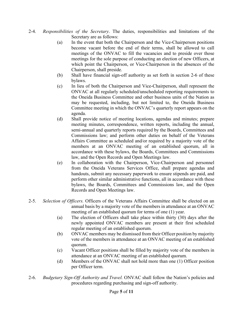- 2-4. *Responsibilities of the Secretary*. The duties, responsibilities and limitations of the Secretary are as follows:
	- (a) In the event that both the Chairperson and the Vice-Chairperson positions become vacant before the end of their terms, shall be allowed to call meetings of the ONVAC to fill the vacancies and to preside over those meetings for the sole purpose of conducting an election of new Officers, at which point the Chairperson, or Vice-Chairperson in the absences of the Chairperson, shall preside.
	- (b) Shall have financial sign-off authority as set forth in section 2-6 of these bylaws.
	- (c) In lieu of both the Chairperson and Vice-Chairperson, shall represent the ONVAC at all regularly scheduled/unscheduled reporting requirements to the Oneida Business Committee and other business units of the Nation as may be requested, including, but not limited to, the Oneida Business Committee meeting in which the ONVAC's quarterly report appears on the agenda.
	- (d) Shall provide notice of meeting locations, agendas and minutes; prepare meeting minutes, correspondence, written reports, including the annual, semi-annual and quarterly reports required by the Boards, Committees and Commissions law; and perform other duties on behalf of the Veterans Affairs Committee as scheduled and/or required by a majority vote of the members at an ONVAC meeting of an established quorum, all in accordance with these bylaws, the Boards, Committees and Commissions law, and the Open Records and Open Meetings law.
	- (e) In collaboration with the Chairperson, Vice-Chairperson and personnel from the Oneida Veterans Services Office, shall prepare agendas and handouts, submit any necessary paperwork to ensure stipends are paid, and perform other similar administrative functions, all in accordance with these bylaws, the Boards, Committees and Commissions law, and the Open Records and Open Meetings law.
- 2-5. *Selection of Officers.* Officers of the Veterans Affairs Committee shall be elected on an annual basis by a majority vote of the members in attendance at an ONVAC meeting of an established quorum for terms of one (1) year.
	- (a) The election of Officers shall take place within thirty (30) days after the newly appointed ONVAC members are present at their first scheduled regular meeting of an established quorum.
	- (b) ONVAC members may be dismissed from their Officer position by majority vote of the members in attendance at an ONVAC meeting of an established quorum.
	- (c) Vacant Officer positions shall be filled by majority vote of the members in attendance at an ONVAC meeting of an established quorum.
	- (d) Members of the ONVAC shall not hold more than one (1) Officer position per Officer term.
- 2-6. *Budgetary Sign-Off Authority and Travel.* ONVAC shall follow the Nation's policies and procedures regarding purchasing and sign-off authority.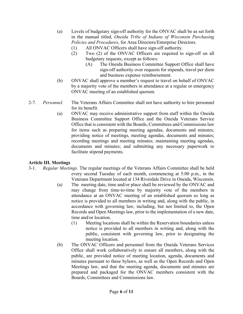- (a) Levels of budgetary sign-off authority for the ONVAC shall be as set forth in the manual titled, *Oneida Tribe of Indians of Wisconsin Purchasing Policies and Procedures*, for Area Directors/Enterprise Directors.
	- (1) All ONVAC Officers shall have sign-off authority.
	- (2) Two (2) of the ONVAC Officers are required to sign-off on all budgetary requests, except as follows:
		- (A) The Oneida Business Committee Support Office shall have sign-off authority over requests for stipends, travel per diem and business expense reimbursement.
- (b) ONVAC shall approve a member's request to travel on behalf of ONVAC by a majority vote of the members in attendance at a regular or emergency ONVAC meeting of an established quorum.
- 2-7. *Personnel.* The Veterans Affairs Committee shall not have authority to hire personnel for its benefit.
	- (a) ONVAC may receive administrative support from staff within the Oneida Business Committee Support Office and the Oneida Veterans Service Office that is consistent with the Boards, Committees and Commissions law for items such as preparing meeting agendas, documents and minutes; providing notice of meetings, meeting agendas, documents and minutes; recording meetings and meeting minutes; maintaining meeting agendas, documents and minutes; and submitting any necessary paperwork to facilitate stipend payments.

#### **Article III. Meetings**

- 3-1. *Regular Meetings*. The regular meetings of the Veterans Affairs Committee shall be held every second Tuesday of each month, commencing at 5:00 p.m., in the Veterans Department located at 134 Riverdale Drive in Oneida, Wisconsin.
	- (a) The meeting date, time and/or place shall be reviewed by the ONVAC and may change from time-to-time by majority vote of the members in attendance at an ONVAC meeting of an established quorum so long as notice is provided to all members in writing and, along with the public, in accordance with governing law, including, but not limited to, the Open Records and Open Meetings law, prior to the implementation of a new date, time and/or location.
		- (1) Meeting locations shall be within the Reservation boundaries unless notice is provided to all members in writing and, along with the public, consistent with governing law, prior to designating the meeting location.
	- (b) The ONVAC Officers and personnel from the Oneida Veterans Services Office shall work collaboratively to ensure all members, along with the public, are provided notice of meeting location, agenda, documents and minutes pursuant to these bylaws, as well as the Open Records and Open Meetings law, and that the meeting agenda, documents and minutes are prepared and packaged for the ONVAC members consistent with the Boards, Committees and Commissions law.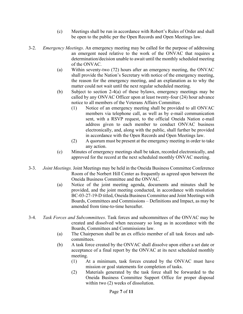- (c) Meetings shall be run in accordance with Robert's Rules of Order and shall be open to the public per the Open Records and Open Meetings law.
- 3-2. *Emergency Meetings*. An emergency meeting may be called for the purpose of addressing an emergent need relative to the work of the ONVAC that requires a determination/decision unable to await until the monthly scheduled meeting of the ONVAC.
	- (a) Within seventy-two (72) hours after an emergency meeting, the ONVAC shall provide the Nation's Secretary with notice of the emergency meeting, the reason for the emergency meeting, and an explanation as to why the matter could not wait until the next regular scheduled meeting.
	- (b) Subject to section 2-4(a) of these bylaws, emergency meetings may be called by any ONVAC Officer upon at least twenty-four (24) hour advance notice to all members of the Veterans Affairs Committee.
		- (1) Notice of an emergency meeting shall be provided to all ONVAC members via telephone call, as well as by e-mail communication sent, with a RSVP request, to the official Oneida Nation e-mail address given to each member to conduct ONVAC business electronically, and, along with the public, shall further be provided in accordance with the Open Records and Open Meetings law.
		- (2) A quorum must be present at the emergency meeting in order to take any action.
	- (c) Minutes of emergency meetings shall be taken, recorded electronically, and approved for the record at the next scheduled monthly ONVAC meeting.
- 3-3. *Joint Meetings.* Joint Meetings may be held in the Oneida Business Committee Conference Room of the Norbert Hill Center as frequently as agreed upon between the Oneida Business Committee and the ONVAC.
	- (a) Notice of the joint meeting agenda, documents and minutes shall be provided, and the joint meeting conducted, in accordance with resolution BC-03-27-19-D titled, Oneida Business Committee and Joint Meetings with Boards, Committees and Commissions – Definitions and Impact, as may be amended from time-to-time hereafter.
- 3-4. *Task Forces and Subcommittees*. Task forces and subcommittees of the ONVAC may be created and dissolved when necessary so long as in accordance with the Boards, Committees and Commissions law.
	- (a) The Chairperson shall be an ex officio member of all task forces and sub committees.
	- (b) A task force created by the ONVAC shall dissolve upon either a set date or acceptance of a final report by the ONVAC at its next scheduled monthly meeting.
		- (1) At a minimum, task forces created by the ONVAC must have mission or goal statements for completion of tasks.
		- (2) Materials generated by the task force shall be forwarded to the Oneida Business Committee Support Office for proper disposal within two  $(2)$  weeks of dissolution.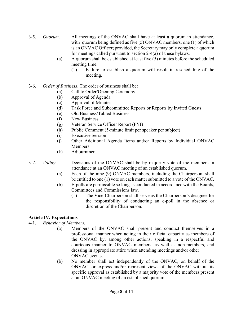- 3-5. *Quorum*. All meetings of the ONVAC shall have at least a quorum in attendance, with quorum being defined as five (5) ONVAC members, one (1) of which is an ONVAC Officer; provided, the Secretary may only complete a quorum for meetings called pursuant to section 2-4(a) of these bylaws.
	- (a) A quorum shall be established at least five (5) minutes before the scheduled meeting time.
		- (1) Failure to establish a quorum will result in rescheduling of the meeting.
- 3-6. *Order of Business*. The order of business shall be:
	- (a) Call to Order/Opening Ceremony
	- (b) Approval of Agenda
	- (c) Approval of Minutes
	- (d) Task Force and Subcommittee Reports or Reports by Invited Guests
	- (e) Old Business/Tabled Business
	- (f) New Business
	- (g) Veteran Service Officer Report (FYI)
	- (h) Public Comment (5-minute limit per speaker per subject)
	- (i) Executive Session
	- (j) Other Additional Agenda Items and/or Reports by Individual ONVAC Members
	- (k) Adjournment
- 3-7. *Voting.* Decisions of the ONVAC shall be by majority vote of the members in attendance at an ONVAC meeting of an established quorum.
	- (a) Each of the nine (9) ONVAC members, including the Chairperson, shall be entitled to one (1) vote on each matter submitted to a vote of the ONVAC.
	- (b) E-polls are permissible so long as conducted in accordance with the Boards, Committees and Commissions law.
		- (1) The Vice-Chairperson shall serve as the Chairperson's designee for the responsibility of conducting an e-poll in the absence or discretion of the Chairperson.

#### **Article IV. Expectations**

4-1. *Behavior of Members.*

- (a) Members of the ONVAC shall present and conduct themselves in a professional manner when acting in their official capacity as members of the ONVAC by, among other actions, speaking in a respectful and courteous manner to ONVAC members, as well as non-members, and dressing in appropriate attire when attending meetings and/or other ONVAC events.
- (b) No member shall act independently of the ONVAC, on behalf of the ONVAC, or express and/or represent views of the ONVAC without its specific approval as established by a majority vote of the members present at an ONVAC meeting of an established quorum.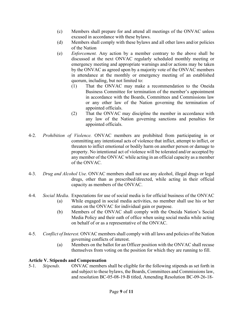- (c) Members shall prepare for and attend all meetings of the ONVAC unless excused in accordance with these bylaws.
- (d) Members shall comply with these bylaws and all other laws and/or policies of the Nation
- (e) *Enforcement.* Any action by a member contrary to the above shall be discussed at the next ONVAC regularly scheduled monthly meeting or emergency meeting and appropriate warnings and/or actions may be taken by the ONVAC as agreed upon by a majority vote of the ONVAC members in attendance at the monthly or emergency meeting of an established quorum, including, but not limited to:
	- (1) That the ONVAC may make a recommendation to the Oneida Business Committee for termination of the member's appointment in accordance with the Boards, Committees and Commissions law or any other law of the Nation governing the termination of appointed officials.
	- (2) That the ONVAC may discipline the member in accordance with any law of the Nation governing sanctions and penalties for appointed officials.
- 4-2. *Prohibition of Violence.* ONVAC members are prohibited from participating in or committing any intentional acts of violence that inflict, attempt to inflict, or threaten to inflict emotional or bodily harm on another person or damage to property. No intentional act of violence will be tolerated and/or accepted by any member of the ONVAC while acting in an official capacity as a member of the ONVAC.
- 4-3. *Drug and Alcohol Use.* ONVAC members shall not use any alcohol, illegal drugs or legal drugs, other than as prescribed/directed, while acting in their official capacity as members of the ONVAC.
- 4-4. *Social Media*. Expectations for use of social media is for official business of the ONVAC
	- (a) While engaged in social media activities, no member shall use his or her status on the ONVAC for individual gain or purpose.
	- (b) Members of the ONVAC shall comply with the Oneida Nation's Social Media Policy and their oath of office when using social media while acting on behalf of or as a representative of the ONVAC.
- 4-5. *Conflict of Interest.* ONVAC members shall comply with all laws and policies of the Nation governing conflicts of interest.
	- (a) Members on the ballot for an Officer position with the ONVAC shall recuse themselves from voting on the position for which they are running to fill.

#### **Article V. Stipends and Compensation**

5-1. *Stipends.* ONVAC members shall be eligible for the following stipends as set forth in and subject to these bylaws, the Boards, Committees and Commissions law, and resolution BC-05-08-19-B titled, Amending Resolution BC-09-26-18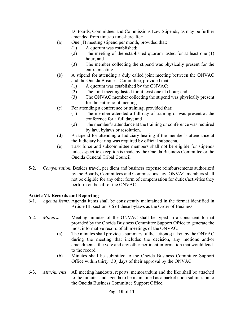D Boards, Committees and Commissions Law Stipends, as may be further amended from time-to time-hereafter:

- (a) One (1) meeting stipend per month, provided that:
	- (1) A quorum was established;
	- (2) The meeting of the established quorum lasted for at least one (1) hour; and
	- (3) The member collecting the stipend was physically present for the entire meeting.
- (b) A stipend for attending a duly called joint meeting between the ONVAC and the Oneida Business Committee, provided that:
	- (1) A quorum was established by the ONVAC;
	- (2) The joint meeting lasted for at least one (1) hour; and
	- (3) The ONVAC member collecting the stipend was physically present for the entire joint meeting.
- (c) For attending a conference or training, provided that:
	- (1) The member attended a full day of training or was present at the conference for a full day; and
	- (2) The member's attendance at the training or conference was required by law, bylaws or resolution.
- (d) A stipend for attending a Judiciary hearing if the member's attendance at the Judiciary hearing was required by official subpoena.
- (e) Task force and subcommittee members shall not be eligible for stipends unless specific exception is made by the Oneida Business Committee or the Oneida General Tribal Council.
- 5-2. *Compensation.* Besides travel, per diem and business expense reimbursements authorized by the Boards, Committees and Commissions law, ONVAC members shall not be eligible for any other form of compensation for duties/activities they perform on behalf of the ONVAC.

#### **Article VI. Records and Reporting**

- 6-1. *Agenda Items.* Agenda items shall be consistently maintained in the format identified in Article III, section 3-6 of these bylaws as the Order of Business.
- 6-2. *Minutes.* Meeting minutes of the ONVAC shall be typed in a consistent format provided by the Oneida Business Committee Support Office to generate the most informative record of all meetings of the ONVAC.
	- (a) The minutes shall provide a summary of the action(s) taken by the ONVAC during the meeting that includes the decision, any motions and/or amendments, the vote and any other pertinent information that would lend to the record.
	- (b) Minutes shall be submitted to the Oneida Business Committee Support Office within thirty (30) days of their approval by the ONVAC.
- 6-3. *Attachments*. All meeting handouts, reports, memorandum and the like shall be attached to the minutes and agenda to be maintained as a packet upon submission to the Oneida Business Committee Support Office.